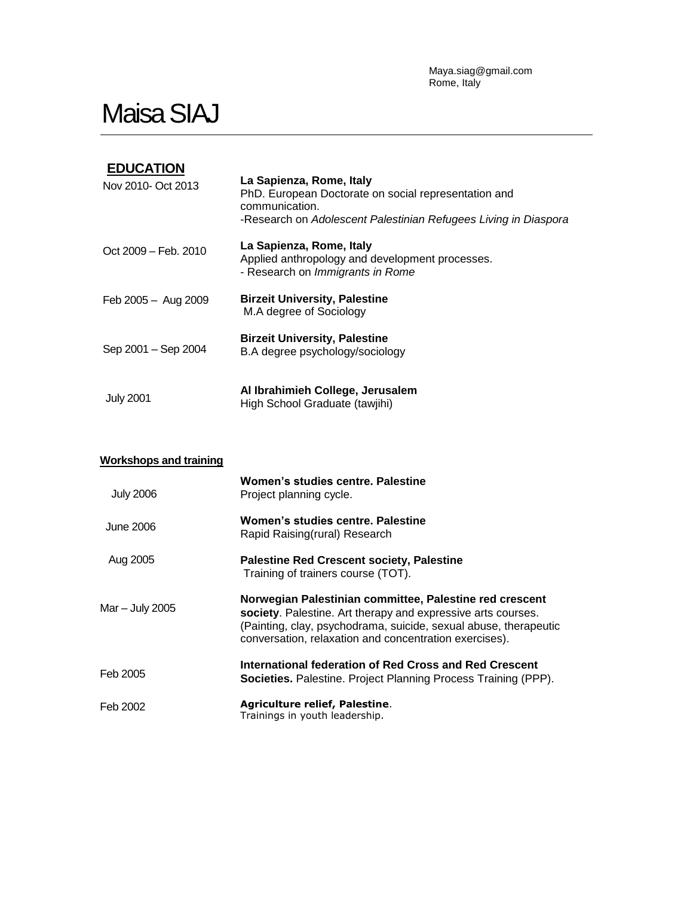Maya.siag@gmail.com Rome, Italy

## **Maisa SIAJ**

| <b>EDUCATION</b><br>Nov 2010- Oct 2013 | La Sapienza, Rome, Italy<br>PhD. European Doctorate on social representation and<br>communication.<br>-Research on Adolescent Palestinian Refugees Living in Diaspora |
|----------------------------------------|-----------------------------------------------------------------------------------------------------------------------------------------------------------------------|
| Oct 2009 - Feb. 2010                   | La Sapienza, Rome, Italy<br>Applied anthropology and development processes.<br>- Research on Immigrants in Rome                                                       |
| Feb 2005 - Aug 2009                    | <b>Birzeit University, Palestine</b><br>M.A degree of Sociology                                                                                                       |
| Sep 2001 - Sep 2004                    | <b>Birzeit University, Palestine</b><br>B.A degree psychology/sociology                                                                                               |
| <b>July 2001</b>                       | Al Ibrahimieh College, Jerusalem<br>High School Graduate (tawjihi)                                                                                                    |

## **Workshops and training** July 2006 June 2006 Aug 2005 Mar – July 2005 Feb 2005 Feb 2002 **Women's studies centre. Palestine** Project planning cycle. **Women's studies centre. Palestine** Rapid Raising(rural) Research **Palestine Red Crescent society, Palestine** Training of trainers course (TOT). **Norwegian Palestinian committee, Palestine red crescent society**. Palestine. Art therapy and expressive arts courses. (Painting, clay, psychodrama, suicide, sexual abuse, therapeutic conversation, relaxation and concentration exercises). **International federation of Red Cross and Red Crescent Societies.** Palestine. Project Planning Process Training (PPP). **Agriculture relief, Palestine**. Trainings in youth leadership.